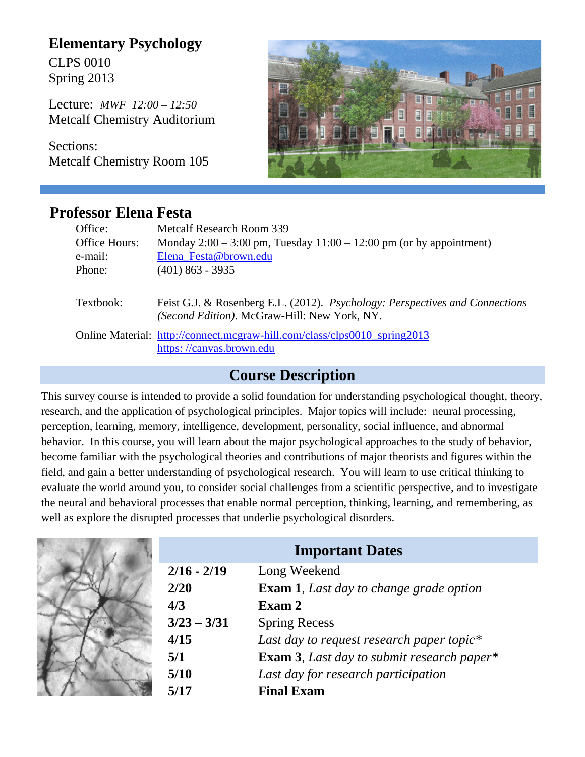# **Elementary Psychology**

CLPS 0010 Spring 2013

Lecture: *MWF 12:00 – 12:50* Metcalf Chemistry Auditorium

Sections: Metcalf Chemistry Room 105



## **Professor Elena Festa**

| Office:<br>Office Hours:<br>e-mail:<br>Phone: | Metcalf Research Room 339<br>Monday $2:00 - 3:00$ pm, Tuesday $11:00 - 12:00$ pm (or by appointment)<br>Elena Festa@brown.edu<br>$(401)$ 863 - 3935 |
|-----------------------------------------------|-----------------------------------------------------------------------------------------------------------------------------------------------------|
| Textbook:                                     | Feist G.J. & Rosenberg E.L. (2012). Psychology: Perspectives and Connections<br>(Second Edition). McGraw-Hill: New York, NY.                        |
|                                               | Online Material: http://connect.mcgraw-hill.com/class/clps0010 spring2013<br>https://canvas.brown.edu                                               |

### **Course Description**

This survey course is intended to provide a solid foundation for understanding psychological thought, theory, research, and the application of psychological principles. Major topics will include: neural processing, perception, learning, memory, intelligence, development, personality, social influence, and abnormal behavior. In this course, you will learn about the major psychological approaches to the study of behavior, become familiar with the psychological theories and contributions of major theorists and figures within the field, and gain a better understanding of psychological research. You will learn to use critical thinking to evaluate the world around you, to consider social challenges from a scientific perspective, and to investigate the neural and behavioral processes that enable normal perception, thinking, learning, and remembering, as well as explore the disrupted processes that underlie psychological disorders.

| <b>Important Dates</b> |                                                 |
|------------------------|-------------------------------------------------|
| $2/16 - 2/19$          | Long Weekend                                    |
| 2/20                   | <b>Exam 1</b> , Last day to change grade option |
| 4/3                    | Exam 2                                          |
| $3/23 - 3/31$          | <b>Spring Recess</b>                            |
| 4/15                   | Last day to request research paper topic*       |
| 5/1                    | Exam 3, Last day to submit research paper*      |
| 5/10                   | Last day for research participation             |
| 5/17                   | <b>Final Exam</b>                               |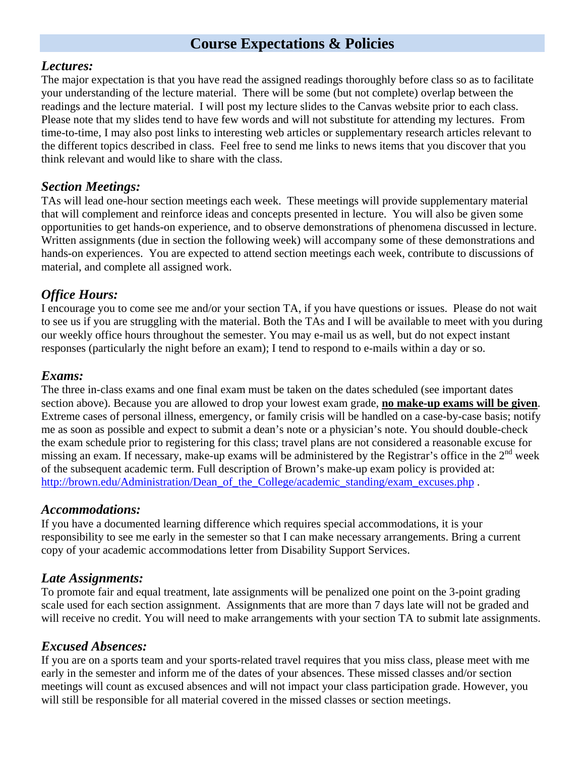## **Course Expectations & Policies**

#### *Lectures:*

The major expectation is that you have read the assigned readings thoroughly before class so as to facilitate your understanding of the lecture material. There will be some (but not complete) overlap between the readings and the lecture material. I will post my lecture slides to the Canvas website prior to each class. Please note that my slides tend to have few words and will not substitute for attending my lectures. From time-to-time, I may also post links to interesting web articles or supplementary research articles relevant to the different topics described in class. Feel free to send me links to news items that you discover that you think relevant and would like to share with the class.

#### *Section Meetings:*

TAs will lead one-hour section meetings each week. These meetings will provide supplementary material that will complement and reinforce ideas and concepts presented in lecture. You will also be given some opportunities to get hands-on experience, and to observe demonstrations of phenomena discussed in lecture. Written assignments (due in section the following week) will accompany some of these demonstrations and hands-on experiences. You are expected to attend section meetings each week, contribute to discussions of material, and complete all assigned work.

#### *Office Hours:*

I encourage you to come see me and/or your section TA, if you have questions or issues. Please do not wait to see us if you are struggling with the material. Both the TAs and I will be available to meet with you during our weekly office hours throughout the semester. You may e-mail us as well, but do not expect instant responses (particularly the night before an exam); I tend to respond to e-mails within a day or so.

#### *Exams:*

The three in-class exams and one final exam must be taken on the dates scheduled (see important dates section above). Because you are allowed to drop your lowest exam grade, **no make-up exams will be given**. Extreme cases of personal illness, emergency, or family crisis will be handled on a case-by-case basis; notify me as soon as possible and expect to submit a dean's note or a physician's note. You should double-check the exam schedule prior to registering for this class; travel plans are not considered a reasonable excuse for missing an exam. If necessary, make-up exams will be administered by the Registrar's office in the  $2<sup>nd</sup>$  week of the subsequent academic term. Full description of Brown's make-up exam policy is provided at: http://brown.edu/Administration/Dean\_of\_the\_College/academic\_standing/exam\_excuses.php.

#### *Accommodations:*

If you have a documented learning difference which requires special accommodations, it is your responsibility to see me early in the semester so that I can make necessary arrangements. Bring a current copy of your academic accommodations letter from Disability Support Services.

#### *Late Assignments:*

To promote fair and equal treatment, late assignments will be penalized one point on the 3-point grading scale used for each section assignment. Assignments that are more than 7 days late will not be graded and will receive no credit. You will need to make arrangements with your section TA to submit late assignments.

#### *Excused Absences:*

If you are on a sports team and your sports-related travel requires that you miss class, please meet with me early in the semester and inform me of the dates of your absences. These missed classes and/or section meetings will count as excused absences and will not impact your class participation grade. However, you will still be responsible for all material covered in the missed classes or section meetings.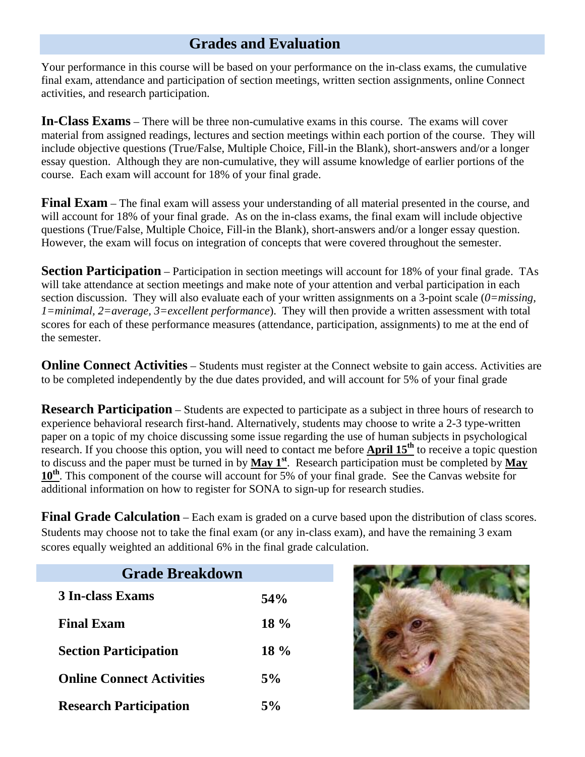## **Grades and Evaluation**

Your performance in this course will be based on your performance on the in-class exams, the cumulative final exam, attendance and participation of section meetings, written section assignments, online Connect activities, and research participation.

**In-Class Exams** – There will be three non-cumulative exams in this course. The exams will cover material from assigned readings, lectures and section meetings within each portion of the course. They will include objective questions (True/False, Multiple Choice, Fill-in the Blank), short-answers and/or a longer essay question. Although they are non-cumulative, they will assume knowledge of earlier portions of the course. Each exam will account for 18% of your final grade.

**Final Exam** – The final exam will assess your understanding of all material presented in the course, and will account for 18% of your final grade. As on the in-class exams, the final exam will include objective questions (True/False, Multiple Choice, Fill-in the Blank), short-answers and/or a longer essay question. However, the exam will focus on integration of concepts that were covered throughout the semester.

**Section Participation** – Participation in section meetings will account for 18% of your final grade. TAs will take attendance at section meetings and make note of your attention and verbal participation in each section discussion. They will also evaluate each of your written assignments on a 3-point scale (*0=missing, 1=minimal, 2=average, 3=excellent performance*). They will then provide a written assessment with total scores for each of these performance measures (attendance, participation, assignments) to me at the end of the semester.

**Online Connect Activities** – Students must register at the Connect website to gain access. Activities are to be completed independently by the due dates provided, and will account for 5% of your final grade

**Research Participation** – Students are expected to participate as a subject in three hours of research to experience behavioral research first-hand. Alternatively, students may choose to write a 2-3 type-written paper on a topic of my choice discussing some issue regarding the use of human subjects in psychological research. If you choose this option, you will need to contact me before **April 15th** to receive a topic question to discuss and the paper must be turned in by **May 1st**. Research participation must be completed by **May**  10<sup>th</sup>. This component of the course will account for 5% of your final grade. See the Canvas website for additional information on how to register for SONA to sign-up for research studies.

**Final Grade Calculation** – Each exam is graded on a curve based upon the distribution of class scores. Students may choose not to take the final exam (or any in-class exam), and have the remaining 3 exam scores equally weighted an additional 6% in the final grade calculation.

| <b>Grade Breakdown</b>           |        |
|----------------------------------|--------|
| <b>3 In-class Exams</b>          | 54%    |
| <b>Final Exam</b>                | $18\%$ |
| <b>Section Participation</b>     | $18\%$ |
| <b>Online Connect Activities</b> | 5%     |
| <b>Research Participation</b>    | 5%     |

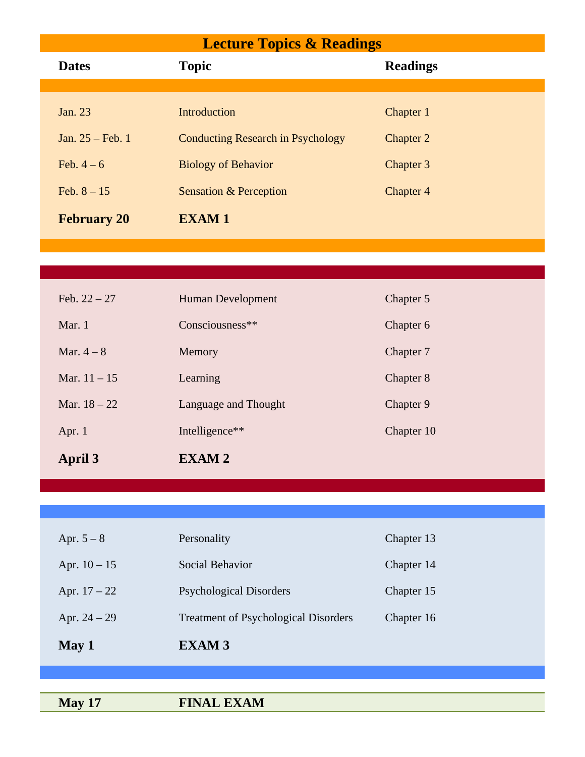# **Lecture Topics & Readings**

| <b>Dates</b>       | <b>Topic</b>                             | <b>Readings</b> |
|--------------------|------------------------------------------|-----------------|
|                    |                                          |                 |
| Jan. 23            | Introduction                             | Chapter 1       |
| Jan. $25$ – Feb. 1 | <b>Conducting Research in Psychology</b> | Chapter 2       |
| Feb. $4-6$         | <b>Biology of Behavior</b>               | Chapter 3       |
| Feb. $8 - 15$      | <b>Sensation &amp; Perception</b>        | Chapter 4       |
| <b>February 20</b> | <b>EXAM1</b>                             |                 |

| April 3        | EXAM <sub>2</sub>    |            |
|----------------|----------------------|------------|
| Apr. $1$       | Intelligence**       | Chapter 10 |
| Mar. $18 - 22$ | Language and Thought | Chapter 9  |
| Mar. $11 - 15$ | Learning             | Chapter 8  |
| Mar. $4-8$     | Memory               | Chapter 7  |
| Mar. $1$       | Consciousness**      | Chapter 6  |
| Feb. $22 - 27$ | Human Development    | Chapter 5  |

| May 1          | <b>EXAM3</b>                                |            |
|----------------|---------------------------------------------|------------|
| Apr. $24 - 29$ | <b>Treatment of Psychological Disorders</b> | Chapter 16 |
| Apr. $17 - 22$ | <b>Psychological Disorders</b>              | Chapter 15 |
| Apr. $10 - 15$ | Social Behavior                             | Chapter 14 |
| Apr. $5 - 8$   | Personality                                 | Chapter 13 |
|                |                                             |            |

**May 17** FINAL EXAM